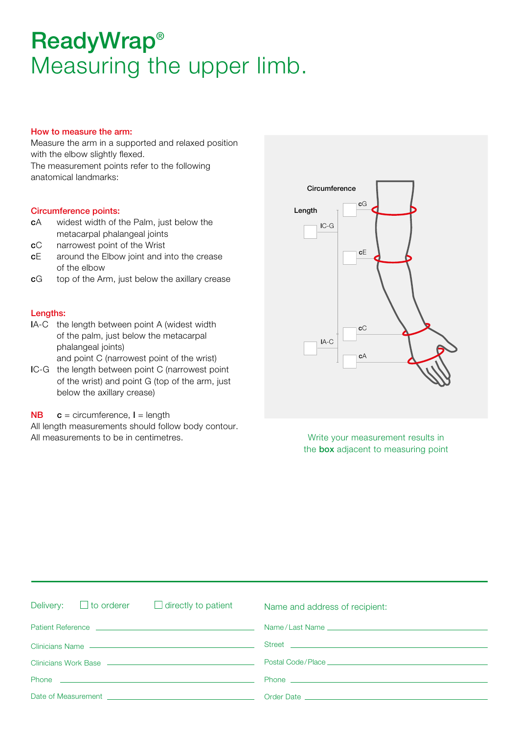# ReadyWrap® Measuring the upper limb.

### How to measure the arm:

Measure the arm in a supported and relaxed position with the elbow slightly flexed. The measurement points refer to the following anatomical landmarks:

#### Circumference points:

- cA widest width of the Palm, just below the metacarpal phalangeal joints
- cC narrowest point of the Wrist
- cE around the Elbow joint and into the crease of the elbow
- cG top of the Arm, just below the axillary crease

#### Lengths:

- lA-C the length between point A (widest width of the palm, just below the metacarpal phalangeal joints) and point C (narrowest point of the wrist)
- lC-G the length between point C (narrowest point of the wrist) and point G (top of the arm, just below the axillary crease)
- $NB$   $c$  = circumference,  $l$  = length
- All length measurements should follow body contour. All measurements to be in centimetres. Write your measurement results in



the **box** adjacent to measuring point

| Delivery: $\Box$ to orderer<br>$\Box$ directly to patient                                                                                                                                                                            | Name and address of recipient:                                                                                                                                                                                                       |  |  |
|--------------------------------------------------------------------------------------------------------------------------------------------------------------------------------------------------------------------------------------|--------------------------------------------------------------------------------------------------------------------------------------------------------------------------------------------------------------------------------------|--|--|
| Patient Reference <b>Lawrence Lawrence Lawrence Lawrence Lawrence Lawrence Lawrence Lawrence Lawrence</b>                                                                                                                            |                                                                                                                                                                                                                                      |  |  |
| Clinicians Name - Clinicians - Clinicians - Clinicians - Clinicians - Clinicians - Clinicians - Clinicians - C                                                                                                                       | Street <u>and the community of the community of the community of the community of the community of the community of the community of the community of the community of the community of the community of the community of the co</u> |  |  |
|                                                                                                                                                                                                                                      |                                                                                                                                                                                                                                      |  |  |
| Phone <b>contract the contract of the contract of the contract of the contract of the contract of the contract of the contract of the contract of the contract of the contract of the contract of the contract of the contract o</b> |                                                                                                                                                                                                                                      |  |  |
| Date of Measurement <b>contract and the contract of Measurement</b>                                                                                                                                                                  |                                                                                                                                                                                                                                      |  |  |